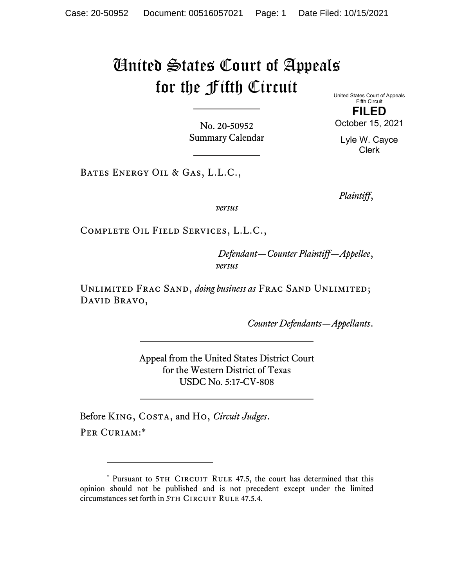# United States Court of Appeals for the Fifth Circuit United States Court of Appeals

No. 20-50952 Summary Calendar

Fifth Circuit **FILED** 

October 15, 2021

Lyle W. Cayce Clerk

Bates Energy Oil & Gas, L.L.C.,

*Plaintiff*,

*versus*

Complete Oil Field Services, L.L.C.,

*Defendant—Counter Plaintiff—Appellee*, *versus*

Unlimited Frac Sand, *doing business as* Frac Sand Unlimited; David Bravo,

*Counter Defendants—Appellants*.

Appeal from the United States District Court for the Western District of Texas USDC No. 5:17-CV-808

Before King, Costa, and Ho, *Circuit Judges*. PER CURIAM:\*

<sup>\*</sup> Pursuant to 5TH CIRCUIT RULE 47.5, the court has determined that this opinion should not be published and is not precedent except under the limited circumstances set forth in 5TH CIRCUIT RULE 47.5.4.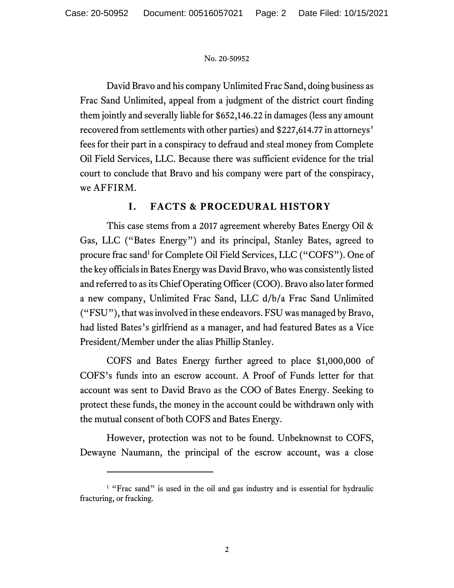David Bravo and his company Unlimited Frac Sand, doing business as Frac Sand Unlimited, appeal from a judgment of the district court finding them jointly and severally liable for \$652,146.22 in damages (less any amount recovered from settlements with other parties) and \$227,614.77 in attorneys' fees for their part in a conspiracy to defraud and steal money from Complete Oil Field Services, LLC. Because there was sufficient evidence for the trial court to conclude that Bravo and his company were part of the conspiracy, we AFFIRM.

### **I. FACTS & PROCEDURAL HISTORY**

This case stems from a 2017 agreement whereby Bates Energy Oil & Gas, LLC ("Bates Energy") and its principal, Stanley Bates, agreed to procure frac sand<sup>1</sup> for Complete Oil Field Services, LLC ("COFS"). One of the key officials in Bates Energy was David Bravo, who was consistently listed and referred to as its Chief Operating Officer (COO). Bravo also later formed a new company, Unlimited Frac Sand, LLC d/b/a Frac Sand Unlimited ("FSU"), that was involved in these endeavors. FSU was managed by Bravo, had listed Bates's girlfriend as a manager, and had featured Bates as a Vice President/Member under the alias Phillip Stanley.

COFS and Bates Energy further agreed to place \$1,000,000 of COFS's funds into an escrow account. A Proof of Funds letter for that account was sent to David Bravo as the COO of Bates Energy. Seeking to protect these funds, the money in the account could be withdrawn only with the mutual consent of both COFS and Bates Energy.

However, protection was not to be found. Unbeknownst to COFS, Dewayne Naumann, the principal of the escrow account, was a close

<sup>&</sup>lt;sup>1</sup> "Frac sand" is used in the oil and gas industry and is essential for hydraulic fracturing, or fracking.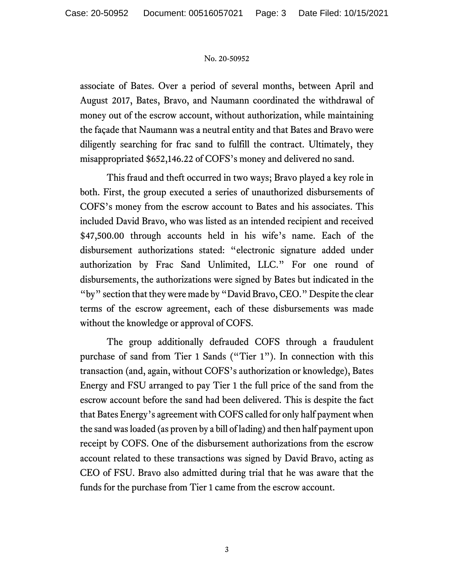associate of Bates. Over a period of several months, between April and August 2017, Bates, Bravo, and Naumann coordinated the withdrawal of money out of the escrow account, without authorization, while maintaining the façade that Naumann was a neutral entity and that Bates and Bravo were diligently searching for frac sand to fulfill the contract. Ultimately, they misappropriated \$652,146.22 of COFS's money and delivered no sand.

This fraud and theft occurred in two ways; Bravo played a key role in both. First, the group executed a series of unauthorized disbursements of COFS's money from the escrow account to Bates and his associates. This included David Bravo, who was listed as an intended recipient and received \$47,500.00 through accounts held in his wife's name. Each of the disbursement authorizations stated: "electronic signature added under authorization by Frac Sand Unlimited, LLC." For one round of disbursements, the authorizations were signed by Bates but indicated in the "by" section that they were made by "David Bravo, CEO." Despite the clear terms of the escrow agreement, each of these disbursements was made without the knowledge or approval of COFS.

The group additionally defrauded COFS through a fraudulent purchase of sand from Tier 1 Sands ("Tier 1"). In connection with this transaction (and, again, without COFS's authorization or knowledge), Bates Energy and FSU arranged to pay Tier 1 the full price of the sand from the escrow account before the sand had been delivered. This is despite the fact that Bates Energy's agreement with COFS called for only half payment when the sand was loaded (as proven by a bill of lading) and then half payment upon receipt by COFS. One of the disbursement authorizations from the escrow account related to these transactions was signed by David Bravo, acting as CEO of FSU. Bravo also admitted during trial that he was aware that the funds for the purchase from Tier 1 came from the escrow account.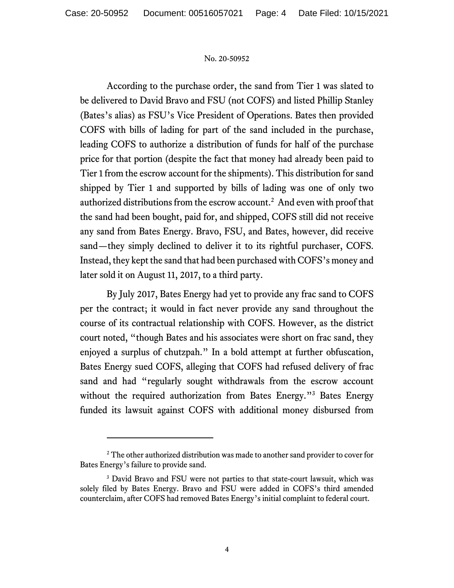According to the purchase order, the sand from Tier 1 was slated to be delivered to David Bravo and FSU (not COFS) and listed Phillip Stanley (Bates's alias) as FSU's Vice President of Operations. Bates then provided COFS with bills of lading for part of the sand included in the purchase, leading COFS to authorize a distribution of funds for half of the purchase price for that portion (despite the fact that money had already been paid to Tier 1 from the escrow account for the shipments). This distribution for sand shipped by Tier 1 and supported by bills of lading was one of only two authorized distributions from the escrow account.<sup>2</sup> And even with proof that the sand had been bought, paid for, and shipped, COFS still did not receive any sand from Bates Energy. Bravo, FSU, and Bates, however, did receive sand—they simply declined to deliver it to its rightful purchaser, COFS. Instead, they kept the sand that had been purchased with COFS's money and later sold it on August 11, 2017, to a third party.

By July 2017, Bates Energy had yet to provide any frac sand to COFS per the contract; it would in fact never provide any sand throughout the course of its contractual relationship with COFS. However, as the district court noted, "though Bates and his associates were short on frac sand, they enjoyed a surplus of chutzpah." In a bold attempt at further obfuscation, Bates Energy sued COFS, alleging that COFS had refused delivery of frac sand and had "regularly sought withdrawals from the escrow account without the required authorization from Bates Energy."<sup>3</sup> Bates Energy funded its lawsuit against COFS with additional money disbursed from

 $2^2$  The other authorized distribution was made to another sand provider to cover for Bates Energy's failure to provide sand.

<sup>&</sup>lt;sup>3</sup> David Bravo and FSU were not parties to that state-court lawsuit, which was solely filed by Bates Energy. Bravo and FSU were added in COFS's third amended counterclaim, after COFS had removed Bates Energy's initial complaint to federal court.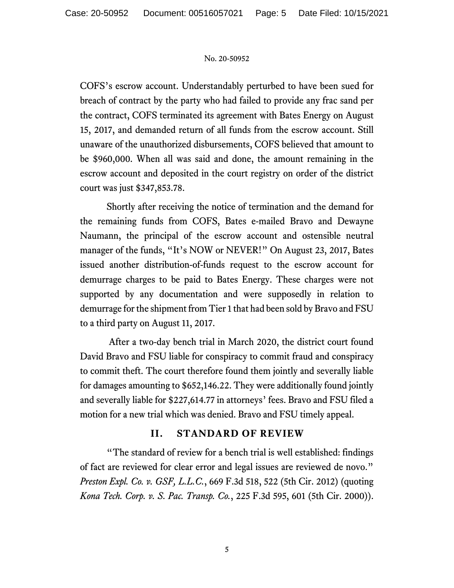COFS's escrow account. Understandably perturbed to have been sued for breach of contract by the party who had failed to provide any frac sand per the contract, COFS terminated its agreement with Bates Energy on August 15, 2017, and demanded return of all funds from the escrow account. Still unaware of the unauthorized disbursements, COFS believed that amount to be \$960,000. When all was said and done, the amount remaining in the escrow account and deposited in the court registry on order of the district court was just \$347,853.78.

Shortly after receiving the notice of termination and the demand for the remaining funds from COFS, Bates e-mailed Bravo and Dewayne Naumann, the principal of the escrow account and ostensible neutral manager of the funds, "It's NOW or NEVER!" On August 23, 2017, Bates issued another distribution-of-funds request to the escrow account for demurrage charges to be paid to Bates Energy. These charges were not supported by any documentation and were supposedly in relation to demurrage for the shipment from Tier 1 that had been sold by Bravo and FSU to a third party on August 11, 2017.

After a two-day bench trial in March 2020, the district court found David Bravo and FSU liable for conspiracy to commit fraud and conspiracy to commit theft. The court therefore found them jointly and severally liable for damages amounting to \$652,146.22. They were additionally found jointly and severally liable for \$227,614.77 in attorneys' fees. Bravo and FSU filed a motion for a new trial which was denied. Bravo and FSU timely appeal.

### **II. STANDARD OF REVIEW**

"The standard of review for a bench trial is well established: findings of fact are reviewed for clear error and legal issues are reviewed de novo." *Preston Expl. Co. v. GSF, L.L.C.*, 669 F.3d 518, 522 (5th Cir. 2012) (quoting *Kona Tech. Corp. v. S. Pac. Transp. Co.*, 225 F.3d 595, 601 (5th Cir. 2000)).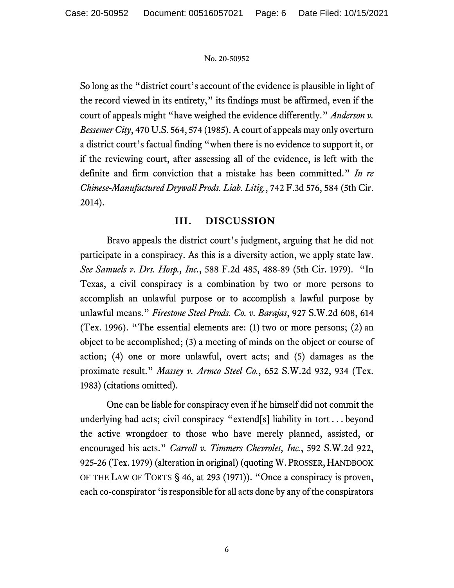So long as the "district court's account of the evidence is plausible in light of the record viewed in its entirety," its findings must be affirmed, even if the court of appeals might "have weighed the evidence differently." *Anderson v. Bessemer City*, 470 U.S. 564, 574 (1985). A court of appeals may only overturn a district court's factual finding "when there is no evidence to support it, or if the reviewing court, after assessing all of the evidence, is left with the definite and firm conviction that a mistake has been committed." *In re Chinese-Manufactured Drywall Prods. Liab. Litig.*, 742 F.3d 576, 584 (5th Cir. 2014).

## **III. DISCUSSION**

Bravo appeals the district court's judgment, arguing that he did not participate in a conspiracy. As this is a diversity action, we apply state law. *See Samuels v. Drs. Hosp., Inc.*, 588 F.2d 485, 488-89 (5th Cir. 1979). "In Texas, a civil conspiracy is a combination by two or more persons to accomplish an unlawful purpose or to accomplish a lawful purpose by unlawful means." *Firestone Steel Prods. Co. v. Barajas*, 927 S.W.2d 608, 614 (Tex. 1996). "The essential elements are: (1) two or more persons; (2) an object to be accomplished; (3) a meeting of minds on the object or course of action; (4) one or more unlawful, overt acts; and (5) damages as the proximate result." *Massey v. Armco Steel Co.*, 652 S.W.2d 932, 934 (Tex. 1983) (citations omitted).

One can be liable for conspiracy even if he himself did not commit the underlying bad acts; civil conspiracy "extend[s] liability in tort . . . beyond the active wrongdoer to those who have merely planned, assisted, or encouraged his acts." *Carroll v. Timmers Chevrolet, Inc.*, 592 S.W.2d 922, 925-26 (Tex. 1979) (alteration in original) (quoting W. PROSSER, HANDBOOK OF THE LAW OF TORTS § 46, at 293 (1971)). "Once a conspiracy is proven, each co-conspirator 'is responsible for all acts done by any of the conspirators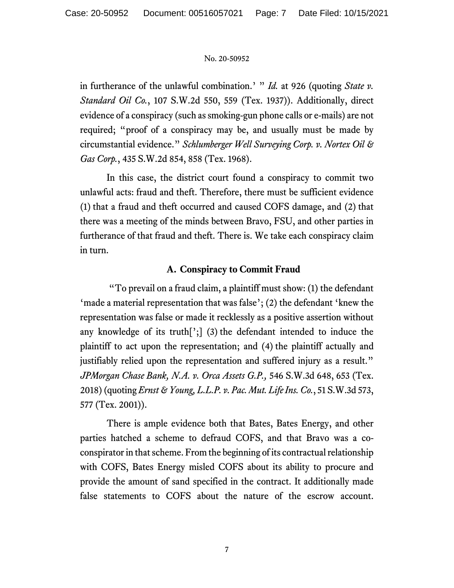in furtherance of the unlawful combination.' " *Id.* at 926 (quoting *State v. Standard Oil Co.*, 107 S.W.2d 550, 559 (Tex. 1937)). Additionally, direct evidence of a conspiracy (such as smoking-gun phone calls or e-mails) are not required; "proof of a conspiracy may be, and usually must be made by circumstantial evidence." *Schlumberger Well Surveying Corp. v. Nortex Oil & Gas Corp.*, 435 S.W.2d 854, 858 (Tex. 1968).

In this case, the district court found a conspiracy to commit two unlawful acts: fraud and theft. Therefore, there must be sufficient evidence (1) that a fraud and theft occurred and caused COFS damage, and (2) that there was a meeting of the minds between Bravo, FSU, and other parties in furtherance of that fraud and theft. There is. We take each conspiracy claim in turn.

### **A. Conspiracy to Commit Fraud**

 "To prevail on a fraud claim, a plaintiff must show: (1) the defendant 'made a material representation that was false'; (2) the defendant 'knew the representation was false or made it recklessly as a positive assertion without any knowledge of its truth[';] (3) the defendant intended to induce the plaintiff to act upon the representation; and (4) the plaintiff actually and justifiably relied upon the representation and suffered injury as a result." *JPMorgan Chase Bank, N.A. v. Orca Assets G.P.,* 546 S.W.3d 648, 653 (Tex. 2018) (quoting *Ernst & Young, L.L.P. v. Pac. Mut. Life Ins. Co.*, 51 S.W.3d 573, 577 (Tex. 2001)).

There is ample evidence both that Bates, Bates Energy, and other parties hatched a scheme to defraud COFS, and that Bravo was a coconspirator in that scheme. From the beginning of its contractual relationship with COFS, Bates Energy misled COFS about its ability to procure and provide the amount of sand specified in the contract. It additionally made false statements to COFS about the nature of the escrow account.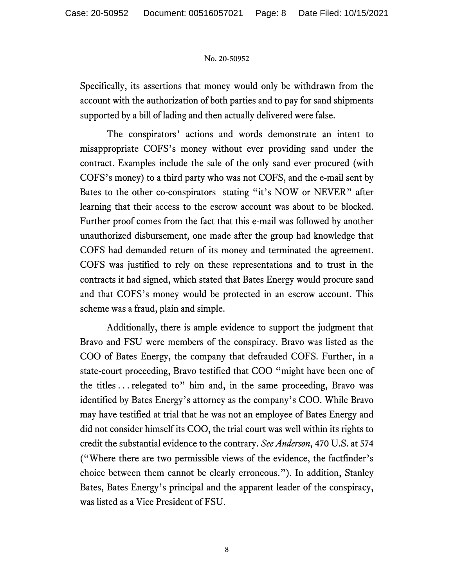Specifically, its assertions that money would only be withdrawn from the account with the authorization of both parties and to pay for sand shipments supported by a bill of lading and then actually delivered were false.

The conspirators' actions and words demonstrate an intent to misappropriate COFS's money without ever providing sand under the contract. Examples include the sale of the only sand ever procured (with COFS's money) to a third party who was not COFS, and the e-mail sent by Bates to the other co-conspirators stating "it's NOW or NEVER" after learning that their access to the escrow account was about to be blocked. Further proof comes from the fact that this e-mail was followed by another unauthorized disbursement, one made after the group had knowledge that COFS had demanded return of its money and terminated the agreement. COFS was justified to rely on these representations and to trust in the contracts it had signed, which stated that Bates Energy would procure sand and that COFS's money would be protected in an escrow account. This scheme was a fraud, plain and simple.

Additionally, there is ample evidence to support the judgment that Bravo and FSU were members of the conspiracy. Bravo was listed as the COO of Bates Energy, the company that defrauded COFS. Further, in a state-court proceeding, Bravo testified that COO "might have been one of the titles . . . relegated to" him and, in the same proceeding, Bravo was identified by Bates Energy's attorney as the company's COO. While Bravo may have testified at trial that he was not an employee of Bates Energy and did not consider himself its COO, the trial court was well within its rights to credit the substantial evidence to the contrary. *See Anderson*, 470 U.S. at 574 ("Where there are two permissible views of the evidence, the factfinder's choice between them cannot be clearly erroneous."). In addition, Stanley Bates, Bates Energy's principal and the apparent leader of the conspiracy, was listed as a Vice President of FSU.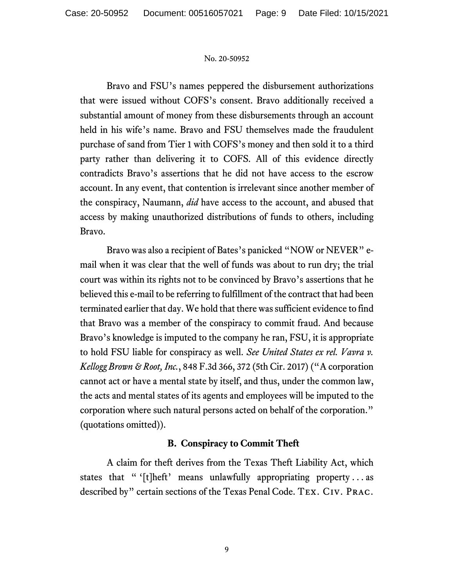Bravo and FSU's names peppered the disbursement authorizations that were issued without COFS's consent. Bravo additionally received a substantial amount of money from these disbursements through an account held in his wife's name. Bravo and FSU themselves made the fraudulent purchase of sand from Tier 1 with COFS's money and then sold it to a third party rather than delivering it to COFS. All of this evidence directly contradicts Bravo's assertions that he did not have access to the escrow account. In any event, that contention is irrelevant since another member of the conspiracy, Naumann, *did* have access to the account, and abused that access by making unauthorized distributions of funds to others, including Bravo.

Bravo was also a recipient of Bates's panicked "NOW or NEVER" email when it was clear that the well of funds was about to run dry; the trial court was within its rights not to be convinced by Bravo's assertions that he believed this e-mail to be referring to fulfillment of the contract that had been terminated earlier that day. We hold that there was sufficient evidence to find that Bravo was a member of the conspiracy to commit fraud. And because Bravo's knowledge is imputed to the company he ran, FSU, it is appropriate to hold FSU liable for conspiracy as well. *See United States ex rel. Vavra v. Kellogg Brown & Root, Inc.*, 848 F.3d 366, 372 (5th Cir. 2017) ("A corporation cannot act or have a mental state by itself, and thus, under the common law, the acts and mental states of its agents and employees will be imputed to the corporation where such natural persons acted on behalf of the corporation." (quotations omitted)).

### **B. Conspiracy to Commit Theft**

A claim for theft derives from the Texas Theft Liability Act, which states that " '[t]heft' means unlawfully appropriating property... as described by" certain sections of the Texas Penal Code. Tex. Civ. Prac.